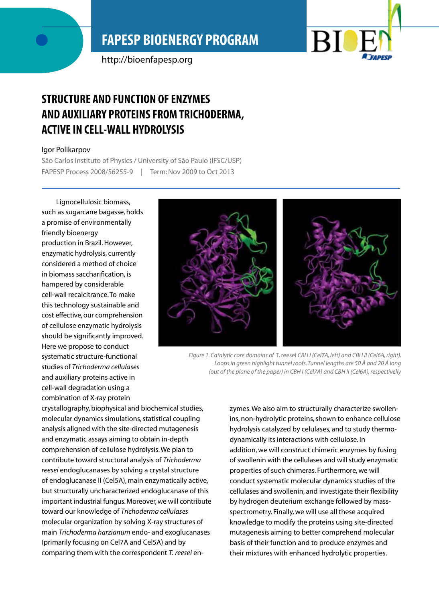# **FAPESP BIOENERGY PROGRAM**

http://bioenfapesp.org



## **Structure and function of enzymes and auxiliary proteins from trichoderma, active in cell-wall hydrolysis**

#### Igor Polikarpov

São Carlos Instituto of Physics / University of São Paulo (IFSC/USP) FAPESP Process 2008/56255-9 | Term: Nov 2009 to Oct 2013

Lignocellulosic biomass, such as sugarcane bagasse, holds a promise of environmentally friendly bioenergy production in Brazil. However, enzymatic hydrolysis, currently considered a method of choice in biomass saccharification, is hampered by considerable cell-wall recalcitrance. To make this technology sustainable and cost effective, our comprehension of cellulose enzymatic hydrolysis should be significantly improved. Here we propose to conduct systematic structure-functional studies of *Trichoderma cellulases* and auxiliary proteins active in cell-wall degradation using a combination of X-ray protein



*Figure 1. Catalytic core domains of* T. reesei *CBH I (Cel7A, left) and CBH II (Cel6A, right). Loops in green highlight tunnel roofs. Tunnel lengths are 50 Å and 20 Å long (out of the plane of the paper) in CBH I (Cel7A) and CBH II (Cel6A), respectivelly*

crystallography, biophysical and biochemical studies, molecular dynamics simulations, statistical coupling analysis aligned with the site-directed mutagenesis and enzymatic assays aiming to obtain in-depth comprehension of cellulose hydrolysis. We plan to contribute toward structural analysis of *Trichoderma reesei* endoglucanases by solving a crystal structure of endoglucanase II (Cel5A), main enzymatically active, but structurally uncharacterized endoglucanase of this important industrial fungus. Moreover, we will contribute toward our knowledge of *Trichoderma cellulases* molecular organization by solving X-ray structures of main *Trichoderma harzianum* endo- and exoglucanases (primarily focusing on Cel7A and Cel5A) and by comparing them with the correspondent *T. reesei* en-

zymes. We also aim to structurally characterize swollenins, non-hydrolytic proteins, shown to enhance cellulose hydrolysis catalyzed by celulases, and to study thermodynamically its interactions with cellulose. In addition, we will construct chimeric enzymes by fusing of swollenin with the cellulases and will study enzymatic properties of such chimeras. Furthermore, we will conduct systematic molecular dynamics studies of the cellulases and swollenin, and investigate their flexibility by hydrogen deuterium exchange followed by massspectrometry. Finally, we will use all these acquired knowledge to modify the proteins using site-directed mutagenesis aiming to better comprehend molecular basis of their function and to produce enzymes and their mixtures with enhanced hydrolytic properties.